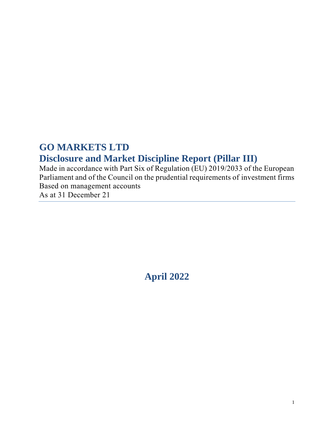# **GO MARKETS LTD Disclosure and Market Discipline Report (Pillar III)**

Made in accordance with Part Six of Regulation (EU) 2019/2033 of the European Parliament and of the Council on the prudential requirements of investment firms Based on management accounts

As at 31 December 21

**April 2022**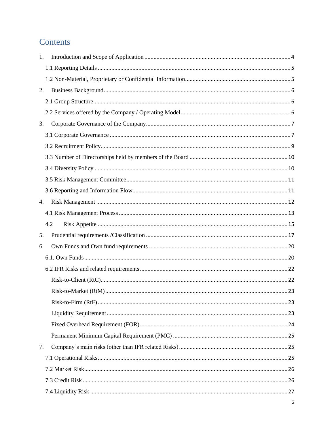# Contents

| 1.  |  |
|-----|--|
|     |  |
|     |  |
| 2.  |  |
|     |  |
|     |  |
| 3.  |  |
|     |  |
|     |  |
|     |  |
|     |  |
|     |  |
|     |  |
| 4.  |  |
|     |  |
| 4.2 |  |
| 5.  |  |
| 6.  |  |
|     |  |
|     |  |
|     |  |
|     |  |
|     |  |
|     |  |
|     |  |
|     |  |
| 7.  |  |
|     |  |
|     |  |
|     |  |
|     |  |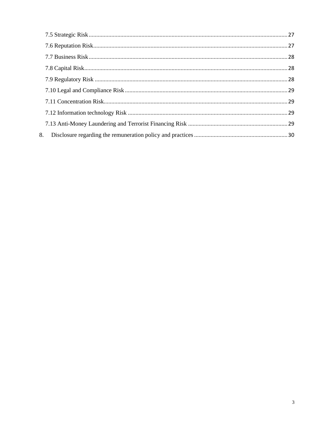| 8. |  |
|----|--|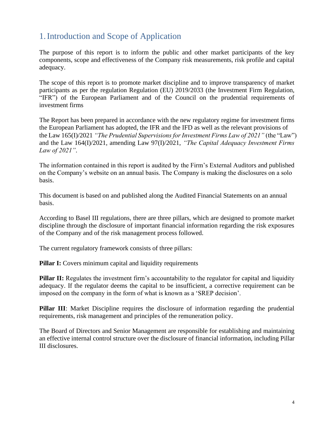# <span id="page-3-0"></span>1.Introduction and Scope of Application

The purpose of this report is to inform the public and other market participants of the key components, scope and effectiveness of the Company risk measurements, risk profile and capital adequacy.

The scope of this report is to promote market discipline and to improve transparency of market participants as per the regulation Regulation (EU) 2019/2033 (the Investment Firm Regulation, "IFR") of the European Parliament and of the Council on the prudential requirements of investment firms

The Report has been prepared in accordance with the new regulatory regime for investment firms the European Parliament has adopted, the IFR and the IFD as well as the relevant provisions of the Law 165(I)/2021 *"The Prudential Supervisions for Investment Firms Law of 2021"* (the "Law") and the Law 164(I)/2021, amending Law 97(I)/2021, *"The Capital Adequacy Investment Firms Law of 2021"*.

The information contained in this report is audited by the Firm's External Auditors and published on the Company's website on an annual basis. The Company is making the disclosures on a solo basis.

This document is based on and published along the Audited Financial Statements on an annual basis.

According to Basel III regulations, there are three pillars, which are designed to promote market discipline through the disclosure of important financial information regarding the risk exposures of the Company and of the risk management process followed.

The current regulatory framework consists of three pillars:

**Pillar I:** Covers minimum capital and liquidity requirements

**Pillar II:** Regulates the investment firm's accountability to the regulator for capital and liquidity adequacy. If the regulator deems the capital to be insufficient, a corrective requirement can be imposed on the company in the form of what is known as a 'SREP decision'.

**Pillar III**: Market Discipline requires the disclosure of information regarding the prudential requirements, risk management and principles of the remuneration policy.

The Board of Directors and Senior Management are responsible for establishing and maintaining an effective internal control structure over the disclosure of financial information, including Pillar III disclosures.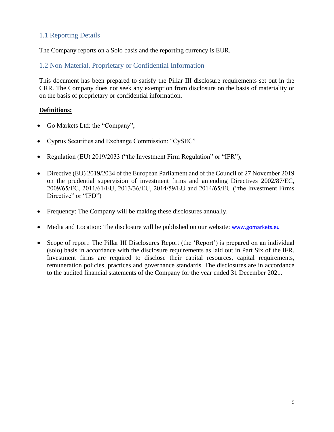## <span id="page-4-0"></span>1.1 Reporting Details

The Company reports on a Solo basis and the reporting currency is EUR.

## <span id="page-4-1"></span>1.2 Non-Material, Proprietary or Confidential Information

This document has been prepared to satisfy the Pillar III disclosure requirements set out in the CRR. The Company does not seek any exemption from disclosure on the basis of materiality or on the basis of proprietary or confidential information.

### **Definitions:**

- Go Markets Ltd: the "Company",
- Cyprus Securities and Exchange Commission: "CySEC"
- Regulation (EU) 2019/2033 ("the Investment Firm Regulation" or "IFR"),
- Directive (EU) 2019/2034 of the European Parliament and of the Council of 27 November 2019 on the prudential supervision of investment firms and amending Directives 2002/87/EC, 2009/65/EC, 2011/61/EU, 2013/36/EU, 2014/59/EU and 2014/65/EU ("the Investment Firms Directive" or "IFD")
- Frequency: The Company will be making these disclosures annually.
- Media and Location: The disclosure will be published on our website: [www.gomarkets.eu](http://www.gomarkets.eu/)
- Scope of report: The Pillar III Disclosures Report (the 'Report') is prepared on an individual (solo) basis in accordance with the disclosure requirements as laid out in Part Six of the IFR. Investment firms are required to disclose their capital resources, capital requirements, remuneration policies, practices and governance standards. The disclosures are in accordance to the audited financial statements of the Company for the year ended 31 December 2021.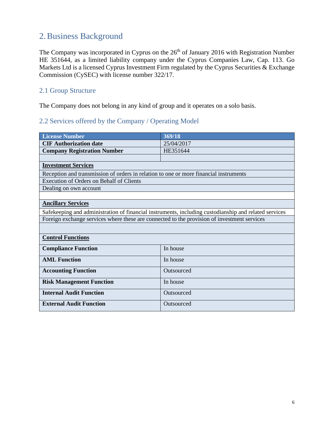# <span id="page-5-0"></span>2.Business Background

The Company was incorporated in Cyprus on the  $26<sup>th</sup>$  of January 2016 with Registration Number HE 351644, as a limited liability company under the Cyprus Companies Law, Cap. 113. Go Markets Ltd is a licensed Cyprus Investment Firm regulated by the Cyprus Securities & Exchange Commission (CySEC) with license number 322/17.

## <span id="page-5-1"></span>2.1 Group Structure

The Company does not belong in any kind of group and it operates on a solo basis.

# <span id="page-5-2"></span>2.2 Services offered by the Company / Operating Model

| <b>License Number</b>                                                                       | 369/18                                                                                                |  |
|---------------------------------------------------------------------------------------------|-------------------------------------------------------------------------------------------------------|--|
| <b>CIF Authorization date</b>                                                               | 25/04/2017                                                                                            |  |
| <b>Company Registration Number</b>                                                          | HE351644                                                                                              |  |
|                                                                                             |                                                                                                       |  |
| <b>Investment Services</b>                                                                  |                                                                                                       |  |
| Reception and transmission of orders in relation to one or more financial instruments       |                                                                                                       |  |
| <b>Execution of Orders on Behalf of Clients</b>                                             |                                                                                                       |  |
| Dealing on own account                                                                      |                                                                                                       |  |
|                                                                                             |                                                                                                       |  |
| <b>Ancillary Services</b>                                                                   |                                                                                                       |  |
|                                                                                             | Safekeeping and administration of financial instruments, including custodianship and related services |  |
| Foreign exchange services where these are connected to the provision of investment services |                                                                                                       |  |
|                                                                                             |                                                                                                       |  |
| <b>Control Functions</b>                                                                    |                                                                                                       |  |
| <b>Compliance Function</b>                                                                  | In house                                                                                              |  |
| <b>AML Function</b>                                                                         | In house                                                                                              |  |
| <b>Accounting Function</b><br>Outsourced                                                    |                                                                                                       |  |
| <b>Risk Management Function</b>                                                             | In house                                                                                              |  |
| <b>Internal Audit Function</b>                                                              | Outsourced                                                                                            |  |
| <b>External Audit Function</b>                                                              | Outsourced                                                                                            |  |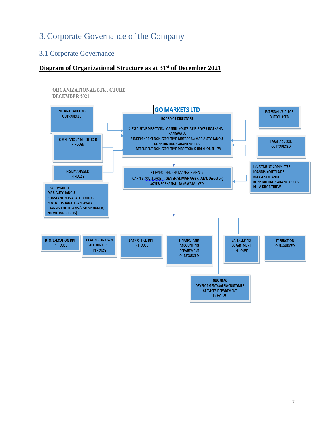# <span id="page-6-0"></span>3.Corporate Governance of the Company

# <span id="page-6-1"></span>3.1 Corporate Governance

### **Diagram of Organizational Structure as at 31st of December 2021**

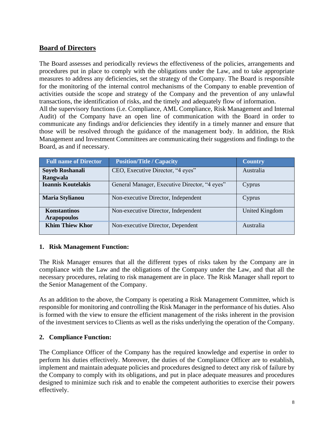## **Board of Directors**

The Board assesses and periodically reviews the effectiveness of the policies, arrangements and procedures put in place to comply with the obligations under the Law, and to take appropriate measures to address any deficiencies, set the strategy of the Company. The Board is responsible for the monitoring of the internal control mechanisms of the Company to enable prevention of activities outside the scope and strategy of the Company and the prevention of any unlawful transactions, the identification of risks, and the timely and adequately flow of information. All the supervisory functions (i.e. Compliance, AML Compliance, Risk Management and Internal

Audit) of the Company have an open line of communication with the Board in order to communicate any findings and/or deficiencies they identify in a timely manner and ensure that those will be resolved through the guidance of the management body. In addition, the Risk Management and Investment Committees are communicating their suggestions and findings to the Board, as and if necessary.

| <b>Full name of Director</b>              | <b>Position/Title / Capacity</b>              | <b>Country</b> |
|-------------------------------------------|-----------------------------------------------|----------------|
| Soyeb Roshanali                           | CEO, Executive Director, "4 eyes"             | Australia      |
| Rangwala                                  |                                               |                |
| <b>Ioannis Koutelakis</b>                 | General Manager, Executive Director, "4 eyes" | Cyprus         |
| <b>Maria Stylianou</b>                    | Non-executive Director, Independent           | Cyprus         |
| <b>Konstantinos</b><br><b>Arapopoulos</b> | Non-executive Director, Independent           | United Kingdom |
| <b>Khim Thiew Khor</b>                    | Non-executive Director, Dependent             | Australia      |

### **1. Risk Management Function:**

The Risk Manager ensures that all the different types of risks taken by the Company are in compliance with the Law and the obligations of the Company under the Law, and that all the necessary procedures, relating to risk management are in place. The Risk Manager shall report to the Senior Management of the Company.

As an addition to the above, the Company is operating a Risk Management Committee, which is responsible for monitoring and controlling the Risk Manager in the performance of his duties. Also is formed with the view to ensure the efficient management of the risks inherent in the provision of the investment services to Clients as well as the risks underlying the operation of the Company.

## **2. Compliance Function:**

The Compliance Officer of the Company has the required knowledge and expertise in order to perform his duties effectively. Moreover, the duties of the Compliance Officer are to establish, implement and maintain adequate policies and procedures designed to detect any risk of failure by the Company to comply with its obligations, and put in place adequate measures and procedures designed to minimize such risk and to enable the competent authorities to exercise their powers effectively.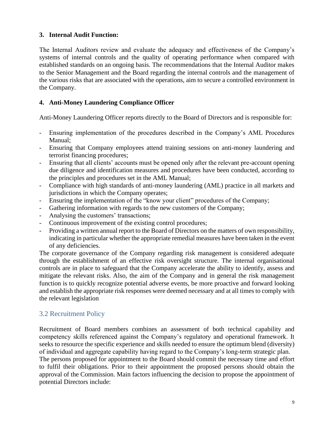### **3. Internal Audit Function:**

The Internal Auditors review and evaluate the adequacy and effectiveness of the Company's systems of internal controls and the quality of operating performance when compared with established standards on an ongoing basis. The recommendations that the Internal Auditor makes to the Senior Management and the Board regarding the internal controls and the management of the various risks that are associated with the operations, aim to secure a controlled environment in the Company.

## **4. Anti-Money Laundering Compliance Officer**

Anti-Money Laundering Officer reports directly to the Board of Directors and is responsible for:

- Ensuring implementation of the procedures described in the Company's AML Procedures Manual;
- Ensuring that Company employees attend training sessions on anti-money laundering and terrorist financing procedures;
- Ensuring that all clients' accounts must be opened only after the relevant pre-account opening due diligence and identification measures and procedures have been conducted, according to the principles and procedures set in the AML Manual;
- Compliance with high standards of anti-money laundering (AML) practice in all markets and jurisdictions in which the Company operates;
- Ensuring the implementation of the "know your client" procedures of the Company;
- Gathering information with regards to the new customers of the Company;
- Analysing the customers' transactions;
- Continuous improvement of the existing control procedures;
- Providing a written annual report to the Board of Directors on the matters of own responsibility, indicating in particular whether the appropriate remedial measures have been taken in the event of any deficiencies.

The corporate governance of the Company regarding risk management is considered adequate through the establishment of an effective risk oversight structure. The internal organisational controls are in place to safeguard that the Company accelerate the ability to identify, assess and mitigate the relevant risks. Also, the aim of the Company and in general the risk management function is to quickly recognize potential adverse events, be more proactive and forward looking and establish the appropriate risk responses were deemed necessary and at all times to comply with the relevant legislation

## <span id="page-8-0"></span>3.2 Recruitment Policy

Recruitment of Board members combines an assessment of both technical capability and competency skills referenced against the Company's regulatory and operational framework. It seeks to resource the specific experience and skills needed to ensure the optimum blend (diversity) of individual and aggregate capability having regard to the Company's long-term strategic plan.

The persons proposed for appointment to the Board should commit the necessary time and effort to fulfil their obligations. Prior to their appointment the proposed persons should obtain the approval of the Commission. Main factors influencing the decision to propose the appointment of potential Directors include: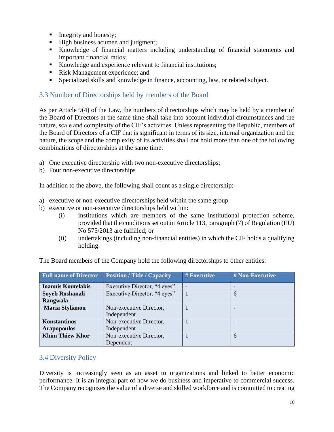- Integrity and honesty;
- High business acumen and judgment;
- Knowledge of financial matters including understanding of financial statements and important financial ratios;
- Knowledge and experience relevant to financial institutions;
- Risk Management experience; and
- Specialized skills and knowledge in finance, accounting, law, or related subject.

## <span id="page-9-0"></span>3.3 Number of Directorships held by members of the Board

As per Article 9(4) of the Law, the numbers of directorships which may be held by a member of the Board of Directors at the same time shall take into account individual circumstances and the nature, scale and complexity of the CIF's activities. Unless representing the Republic, members of the Board of Directors of a CIF that is significant in terms of its size, internal organization and the nature, the scope and the complexity of its activities shall not hold more than one of the following combinations of directorships at the same time:

- a) One executive directorship with two non-executive directorships;
- b) Four non-executive directorships

In addition to the above, the following shall count as a single directorship:

- a) executive or non-executive directorships held within the same group
- b) executive or non-executive directorships held within:
	- (i) institutions which are members of the same institutional protection scheme, provided that the conditions set out in Article 113, paragraph (7) of Regulation (EU) No 575/2013 are fulfilled; or
	- (ii) undertakings (including non-financial entities) in which the CIF holds a qualifying holding.

| <b>Full name of Director</b> | <b>Position / Title / Capacity</b> | # Executive | # Non-Executive |
|------------------------------|------------------------------------|-------------|-----------------|
| <b>Ioannis Koutelakis</b>    | Executive Director, "4 eyes"       |             |                 |
| Soyeb Roshanali              | Executive Director, "4 eyes"       |             | 6               |
| Rangwala                     |                                    |             |                 |
| <b>Maria Stylianou</b>       | Non-executive Director,            |             |                 |
|                              | Independent                        |             |                 |
| Konstantinos                 | Non-executive Director,            |             |                 |
| <b>Arapopoulos</b>           | Independent                        |             |                 |
| <b>Khim Thiew Khor</b>       | Non-executive Director,            |             | 6               |
|                              | Dependent                          |             |                 |

The Board members of the Company hold the following directorships to other entities:

## <span id="page-9-1"></span>3.4 Diversity Policy

Diversity is increasingly seen as an asset to organizations and linked to better economic performance. It is an integral part of how we do business and imperative to commercial success. The Company recognizes the value of a diverse and skilled workforce and is committed to creating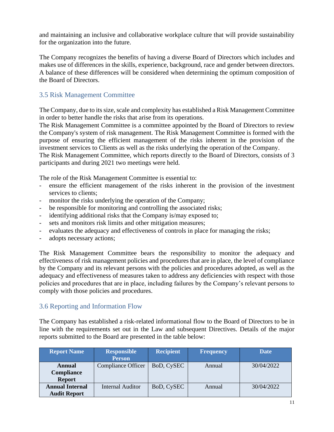and maintaining an inclusive and collaborative workplace culture that will provide sustainability for the organization into the future.

The Company recognizes the benefits of having a diverse Board of Directors which includes and makes use of differences in the skills, experience, background, race and gender between directors. A balance of these differences will be considered when determining the optimum composition of the Board of Directors.

## <span id="page-10-0"></span>3.5 Risk Management Committee

The Company, due to its size, scale and complexity has established a Risk Management Committee in order to better handle the risks that arise from its operations.

The Risk Management Committee is a committee appointed by the Board of Directors to review the Company's system of risk management. The Risk Management Committee is formed with the purpose of ensuring the efficient management of the risks inherent in the provision of the investment services to Clients as well as the risks underlying the operation of the Company.

The Risk Management Committee, which reports directly to the Board of Directors, consists of 3 participants and during 2021 two meetings were held.

The role of the Risk Management Committee is essential to:

- ensure the efficient management of the risks inherent in the provision of the investment services to clients;
- monitor the risks underlying the operation of the Company;
- be responsible for monitoring and controlling the associated risks;
- identifying additional risks that the Company is/may exposed to;
- sets and monitors risk limits and other mitigation measures;
- evaluates the adequacy and effectiveness of controls in place for managing the risks;
- adopts necessary actions;

The Risk Management Committee bears the responsibility to monitor the adequacy and effectiveness of risk management policies and procedures that are in place, the level of compliance by the Company and its relevant persons with the policies and procedures adopted, as well as the adequacy and effectiveness of measures taken to address any deficiencies with respect with those policies and procedures that are in place, including failures by the Company's relevant persons to comply with those policies and procedures.

### <span id="page-10-1"></span>3.6 Reporting and Information Flow

The Company has established a risk-related informational flow to the Board of Directors to be in line with the requirements set out in the Law and subsequent Directives. Details of the major reports submitted to the Board are presented in the table below:

| <b>Report Name</b>                            | <b>Responsible</b><br><b>Person</b> | <b>Recipient</b> | <b>Frequency</b> | <b>Date</b> |
|-----------------------------------------------|-------------------------------------|------------------|------------------|-------------|
| Annual<br>Compliance<br><b>Report</b>         | Compliance Officer                  | BoD, CySEC       | Annual           | 30/04/2022  |
| <b>Annual Internal</b><br><b>Audit Report</b> | Internal Auditor                    | BoD, CySEC       | Annual           | 30/04/2022  |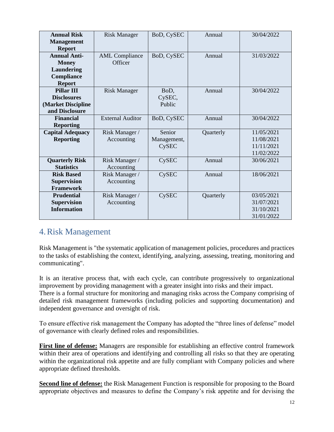| <b>Annual Risk</b>      | <b>Risk Manager</b>     | BoD, CySEC   | Annual    | 30/04/2022 |
|-------------------------|-------------------------|--------------|-----------|------------|
| <b>Management</b>       |                         |              |           |            |
| <b>Report</b>           |                         |              |           |            |
| <b>Annual Anti-</b>     | <b>AML</b> Compliance   | BoD, CySEC   | Annual    | 31/03/2022 |
| <b>Money</b>            | Officer                 |              |           |            |
| Laundering              |                         |              |           |            |
| Compliance              |                         |              |           |            |
| <b>Report</b>           |                         |              |           |            |
| <b>Pillar III</b>       | <b>Risk Manager</b>     | BoD,         | Annual    | 30/04/2022 |
| <b>Disclosures</b>      |                         | CySEC,       |           |            |
| (Market Discipline      |                         | Public       |           |            |
| and Disclosure          |                         |              |           |            |
| <b>Financial</b>        | <b>External Auditor</b> | BoD, CySEC   | Annual    | 30/04/2022 |
| <b>Reporting</b>        |                         |              |           |            |
| <b>Capital Adequacy</b> | Risk Manager /          | Senior       | Quarterly | 11/05/2021 |
| <b>Reporting</b>        | Accounting              | Management,  |           | 11/08/2021 |
|                         |                         | CySEC        |           | 11/11/2021 |
|                         |                         |              |           | 11/02/2022 |
| <b>Quarterly Risk</b>   | Risk Manager /          | <b>CySEC</b> | Annual    | 30/06/2021 |
| <b>Statistics</b>       | Accounting              |              |           |            |
| <b>Risk Based</b>       | Risk Manager /          | <b>CySEC</b> | Annual    | 18/06/2021 |
| <b>Supervision</b>      | Accounting              |              |           |            |
| <b>Framework</b>        |                         |              |           |            |
| <b>Prudential</b>       | Risk Manager /          | <b>CySEC</b> | Quarterly | 03/05/2021 |
| <b>Supervision</b>      | Accounting              |              |           | 31/07/2021 |
| <b>Information</b>      |                         |              |           | 31/10/2021 |
|                         |                         |              |           | 31/01/2022 |

# <span id="page-11-0"></span>4.Risk Management

Risk Management is "the systematic application of management policies, procedures and practices to the tasks of establishing the context, identifying, analyzing, assessing, treating, monitoring and communicating".

It is an iterative process that, with each cycle, can contribute progressively to organizational improvement by providing management with a greater insight into risks and their impact.

There is a formal structure for monitoring and managing risks across the Company comprising of detailed risk management frameworks (including policies and supporting documentation) and independent governance and oversight of risk.

To ensure effective risk management the Company has adopted the "three lines of defense" model of governance with clearly defined roles and responsibilities.

**First line of defense:** Managers are responsible for establishing an effective control framework within their area of operations and identifying and controlling all risks so that they are operating within the organizational risk appetite and are fully compliant with Company policies and where appropriate defined thresholds.

**Second line of defense:** the Risk Management Function is responsible for proposing to the Board appropriate objectives and measures to define the Company's risk appetite and for devising the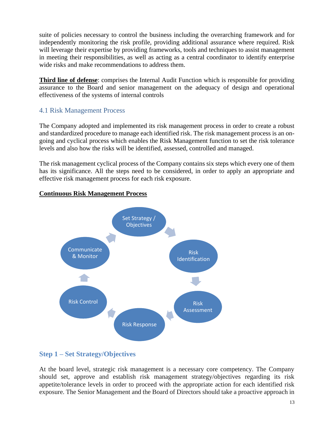suite of policies necessary to control the business including the overarching framework and for independently monitoring the risk profile, providing additional assurance where required. Risk will leverage their expertise by providing frameworks, tools and techniques to assist management in meeting their responsibilities, as well as acting as a central coordinator to identify enterprise wide risks and make recommendations to address them.

**Third line of defense**: comprises the Internal Audit Function which is responsible for providing assurance to the Board and senior management on the adequacy of design and operational effectiveness of the systems of internal controls

## <span id="page-12-0"></span>4.1 Risk Management Process

The Company adopted and implemented its risk management process in order to create a robust and standardized procedure to manage each identified risk. The risk management process is an ongoing and cyclical process which enables the Risk Management function to set the risk tolerance levels and also how the risks will be identified, assessed, controlled and managed.

The risk management cyclical process of the Company contains six steps which every one of them has its significance. All the steps need to be considered, in order to apply an appropriate and effective risk management process for each risk exposure.



## **Continuous Risk Management Process**

# **Step 1 – Set Strategy/Objectives**

At the board level, strategic risk management is a necessary core competency. The Company should set, approve and establish risk management strategy/objectives regarding its risk appetite/tolerance levels in order to proceed with the appropriate action for each identified risk exposure. The Senior Management and the Board of Directors should take a proactive approach in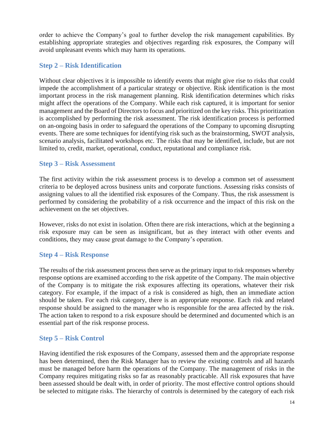order to achieve the Company's goal to further develop the risk management capabilities. By establishing appropriate strategies and objectives regarding risk exposures, the Company will avoid unpleasant events which may harm its operations.

## **Step 2 – Risk Identification**

Without clear objectives it is impossible to identify events that might give rise to risks that could impede the accomplishment of a particular strategy or objective. Risk identification is the most important process in the risk management planning. Risk identification determines which risks might affect the operations of the Company. While each risk captured, it is important for senior management and the Board of Directors to focus and prioritized on the key risks. This prioritization is accomplished by performing the risk assessment. The risk identification process is performed on an-ongoing basis in order to safeguard the operations of the Company to upcoming disrupting events. There are some techniques for identifying risk such as the brainstorming, SWOT analysis, scenario analysis, facilitated workshops etc. The risks that may be identified, include, but are not limited to, credit, market, operational, conduct, reputational and compliance risk.

## **Step 3 – Risk Assessment**

The first activity within the risk assessment process is to develop a common set of assessment criteria to be deployed across business units and corporate functions. Assessing risks consists of assigning values to all the identified risk exposures of the Company. Thus, the risk assessment is performed by considering the probability of a risk occurrence and the impact of this risk on the achievement on the set objectives.

However, risks do not exist in isolation. Often there are risk interactions, which at the beginning a risk exposure may can be seen as insignificant, but as they interact with other events and conditions, they may cause great damage to the Company's operation.

## **Step 4 – Risk Response**

The results of the risk assessment process then serve as the primary input to risk responses whereby response options are examined according to the risk appetite of the Company. The main objective of the Company is to mitigate the risk exposures affecting its operations, whatever their risk category. For example, if the impact of a risk is considered as high, then an immediate action should be taken. For each risk category, there is an appropriate response. Each risk and related response should be assigned to the manager who is responsible for the area affected by the risk. The action taken to respond to a risk exposure should be determined and documented which is an essential part of the risk response process.

## **Step 5 – Risk Control**

Having identified the risk exposures of the Company, assessed them and the appropriate response has been determined, then the Risk Manager has to review the existing controls and all hazards must be managed before harm the operations of the Company. The management of risks in the Company requires mitigating risks so far as reasonably practicable. All risk exposures that have been assessed should be dealt with, in order of priority. The most effective control options should be selected to mitigate risks. The hierarchy of controls is determined by the category of each risk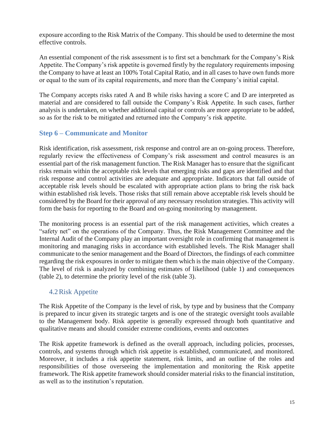exposure according to the Risk Matrix of the Company. This should be used to determine the most effective controls.

An essential component of the risk assessment is to first set a benchmark for the Company's Risk Appetite. The Company's risk appetite is governed firstly by the regulatory requirements imposing the Company to have at least an 100% Total Capital Ratio, and in all cases to have own funds more or equal to the sum of its capital requirements, and more than the Company's initial capital.

The Company accepts risks rated A and B while risks having a score C and D are interpreted as material and are considered to fall outside the Company's Risk Appetite. In such cases, further analysis is undertaken, on whether additional capital or controls are more appropriate to be added, so as for the risk to be mitigated and returned into the Company's risk appetite.

## **Step 6 – Communicate and Monitor**

Risk identification, risk assessment, risk response and control are an on-going process. Therefore, regularly review the effectiveness of Company's risk assessment and control measures is an essential part of the risk management function. The Risk Manager has to ensure that the significant risks remain within the acceptable risk levels that emerging risks and gaps are identified and that risk response and control activities are adequate and appropriate. Indicators that fall outside of acceptable risk levels should be escalated with appropriate action plans to bring the risk back within established risk levels. Those risks that still remain above acceptable risk levels should be considered by the Board for their approval of any necessary resolution strategies. This activity will form the basis for reporting to the Board and on-going monitoring by management.

The monitoring process is an essential part of the risk management activities, which creates a "safety net" on the operations of the Company. Thus, the Risk Management Committee and the Internal Audit of the Company play an important oversight role in confirming that management is monitoring and managing risks in accordance with established levels. The Risk Manager shall communicate to the senior management and the Board of Directors, the findings of each committee regarding the risk exposures in order to mitigate them which is the main objective of the Company. The level of risk is analyzed by combining estimates of likelihood (table 1) and consequences (table 2), to determine the priority level of the risk (table 3).

## <span id="page-14-0"></span>4.2Risk Appetite

The Risk Appetite of the Company is the level of risk, by type and by business that the Company is prepared to incur given its strategic targets and is one of the strategic oversight tools available to the Management body. Risk appetite is generally expressed through both quantitative and qualitative means and should consider extreme conditions, events and outcomes

The Risk appetite framework is defined as the overall approach, including policies, processes, controls, and systems through which risk appetite is established, communicated, and monitored. Moreover, it includes a risk appetite statement, risk limits, and an outline of the roles and responsibilities of those overseeing the implementation and monitoring the Risk appetite framework. The Risk appetite framework should consider material risks to the financial institution, as well as to the institution's reputation.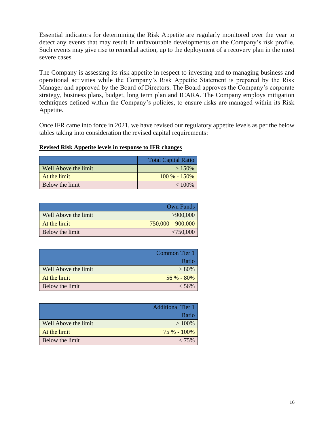Essential indicators for determining the Risk Appetite are regularly monitored over the year to detect any events that may result in unfavourable developments on the Company's risk profile. Such events may give rise to remedial action, up to the deployment of a recovery plan in the most severe cases.

The Company is assessing its risk appetite in respect to investing and to managing business and operational activities while the Company's Risk Appetite Statement is prepared by the Risk Manager and approved by the Board of Directors. The Board approves the Company's corporate strategy, business plans, budget, long term plan and ICARA. The Company employs mitigation techniques defined within the Company's policies, to ensure risks are managed within its Risk Appetite.

Once IFR came into force in 2021, we have revised our regulatory appetite levels as per the below tables taking into consideration the revised capital requirements:

### **Revised Risk Appetite levels in response to IFR changes**

|                      | <b>Total Capital Ratio</b> |
|----------------------|----------------------------|
| Well Above the limit | $>150\%$                   |
| At the limit         | $100\% - 150\%$            |
| Below the limit      | $< 100\%$                  |

|                      | Own Funds           |
|----------------------|---------------------|
| Well Above the limit | >900,000            |
| At the limit         | $750,000 - 900,000$ |
| Below the limit      | < 750,000           |

|                      | Common Tier 1 |
|----------------------|---------------|
|                      | Ratio         |
| Well Above the limit | $> 80\%$      |
| At the limit         | $56\% - 80\%$ |
| Below the limit      | $< 56\%$      |

|                      | <b>Additional Tier 1</b><br>Ratio |
|----------------------|-----------------------------------|
| Well Above the limit | >100%                             |
| At the limit         | $75\% - 100\%$                    |
| Below the limit      | $< 75\%$                          |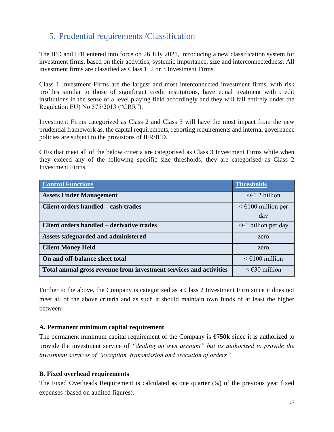# <span id="page-16-0"></span>5. Prudential requirements /Classification

The IFD and IFR entered into force on 26 July 2021, introducing a new classification system for investment firms, based on their activities, systemic importance, size and interconnectedness. All investment firms are classified as Class 1, 2 or 3 Investment Firms.

Class 1 Investment Firms are the largest and most interconnected investment firms, with risk profiles similar to those of significant credit institutions, have equal treatment with credit institutions in the sense of a level playing field accordingly and they will fall entirely under the Regulation EU) No 575/2013 ("CRR").

Investment Firms categorized as Class 2 and Class 3 will have the most impact from the new prudential framework as, the capital requirements, reporting requirements and internal governance policies are subject to the provisions of IFR/IFD.

CIFs that meet all of the below criteria are categorised as Class 3 Investment Firms while when they exceed any of the following specific size thresholds, they are categorised as Class 2 Investment Firms.

| <b>Control Functions</b>                                           | <b>Thresholds</b>                      |
|--------------------------------------------------------------------|----------------------------------------|
| <b>Assets Under Management</b>                                     | $\leq \in$ 1.2 billion                 |
| Client orders handled – cash trades                                | $\leq \epsilon$ 100 million per        |
|                                                                    | day                                    |
| <b>Client orders handled - derivative trades</b>                   | $\leq$ billion per day                 |
| Assets safeguarded and administered                                | zero                                   |
| <b>Client Money Held</b>                                           | zero                                   |
| On and off-balance sheet total                                     | $\leq \text{\textsterling}100$ million |
| Total annual gross revenue from investment services and activities | $\leq$ $\epsilon$ 30 million           |

Further to the above, the Company is categorized as a Class 2 Investment Firm since it does not meet all of the above criteria and as such it should maintain own funds of at least the higher between:

### **A. Permanent minimum capital requirement**

The permanent minimum capital requirement of the Company is  $\epsilon$ 750k since it is authorized to provide the investment service of *"dealing on own account" but its authorized to provide the investment services of "reception, transmission and execution of orders"*

### **B. Fixed overhead requirements**

The Fixed Overheads Requirement is calculated as one quarter  $(\frac{1}{4})$  of the previous year fixed expenses (based on audited figures).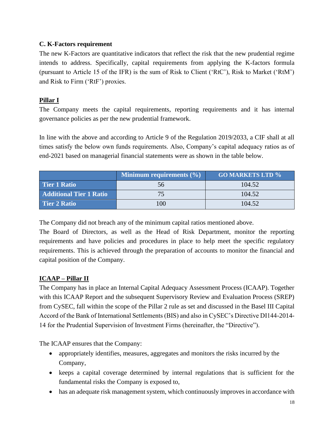## **C. K-Factors requirement**

The new K-Factors are quantitative indicators that reflect the risk that the new prudential regime intends to address. Specifically, capital requirements from applying the K-factors formula (pursuant to Article 15 of the IFR) is the sum of Risk to Client ('RtC'), Risk to Market ('RtM') and Risk to Firm ('RtF') proxies.

## **Pillar I**

The Company meets the capital requirements, reporting requirements and it has internal governance policies as per the new prudential framework.

In line with the above and according to Article 9 of the Regulation 2019/2033, a CIF shall at all times satisfy the below own funds requirements. Also, Company's capital adequacy ratios as of end-2021 based on managerial financial statements were as shown in the table below.

|                                | <b>Minimum requirements <math>(\% )</math></b> | <b>GO MARKETS LTD %</b> |
|--------------------------------|------------------------------------------------|-------------------------|
| Tier 1 Ratio                   | 56                                             | 104.52                  |
| <b>Additional Tier 1 Ratio</b> |                                                | 104.52                  |
| <b>Tier 2 Ratio</b>            | 100                                            | 104.52                  |

The Company did not breach any of the minimum capital ratios mentioned above.

The Board of Directors, as well as the Head of Risk Department, monitor the reporting requirements and have policies and procedures in place to help meet the specific regulatory requirements. This is achieved through the preparation of accounts to monitor the financial and capital position of the Company.

## **ICAAP – Pillar II**

The Company has in place an Internal Capital Adequacy Assessment Process (ICAAP). Together with this ICAAP Report and the subsequent Supervisory Review and Evaluation Process (SREP) from CySEC, fall within the scope of the Pillar 2 rule as set and discussed in the Basel III Capital Accord of the Bank of International Settlements (BIS) and also in CySEC's Directive DI144-2014- 14 for the Prudential Supervision of Investment Firms (hereinafter, the "Directive").

The ICAAP ensures that the Company:

- appropriately identifies, measures, aggregates and monitors the risks incurred by the Company,
- keeps a capital coverage determined by internal regulations that is sufficient for the fundamental risks the Company is exposed to,
- has an adequate risk management system, which continuously improves in accordance with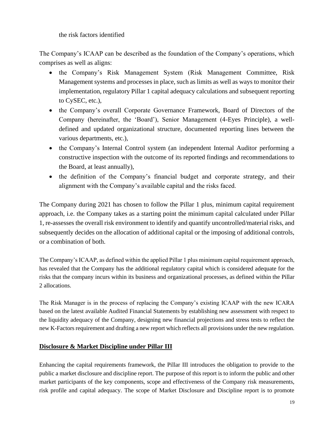the risk factors identified

The Company's ICAAP can be described as the foundation of the Company's operations, which comprises as well as aligns:

- the Company's Risk Management System (Risk Management Committee, Risk Management systems and processes in place, such as limits as well as ways to monitor their implementation, regulatory Pillar 1 capital adequacy calculations and subsequent reporting to CySEC, etc.),
- the Company's overall Corporate Governance Framework, Board of Directors of the Company (hereinafter, the 'Board'), Senior Management (4-Eyes Principle), a welldefined and updated organizational structure, documented reporting lines between the various departments, etc.),
- the Company's Internal Control system (an independent Internal Auditor performing a constructive inspection with the outcome of its reported findings and recommendations to the Board, at least annually),
- the definition of the Company's financial budget and corporate strategy, and their alignment with the Company's available capital and the risks faced.

The Company during 2021 has chosen to follow the Pillar 1 plus, minimum capital requirement approach, i.e. the Company takes as a starting point the minimum capital calculated under Pillar 1, re-assesses the overall risk environment to identify and quantify uncontrolled/material risks, and subsequently decides on the allocation of additional capital or the imposing of additional controls, or a combination of both.

The Company's ICAAP, as defined within the applied Pillar 1 plus minimum capital requirement approach, has revealed that the Company has the additional regulatory capital which is considered adequate for the risks that the company incurs within its business and organizational processes, as defined within the Pillar 2 allocations.

The Risk Manager is in the process of replacing the Company's existing ICAAP with the new ICARA based on the latest available Audited Financial Statements by establishing new assessment with respect to the liquidity adequacy of the Company, designing new financial projections and stress tests to reflect the new K-Factors requirement and drafting a new report which reflects all provisions under the new regulation.

### **Disclosure & Market Discipline under Pillar III**

Enhancing the capital requirements framework, the Pillar III introduces the obligation to provide to the public a market disclosure and discipline report. The purpose of this report is to inform the public and other market participants of the key components, scope and effectiveness of the Company risk measurements, risk profile and capital adequacy. The scope of Market Disclosure and Discipline report is to promote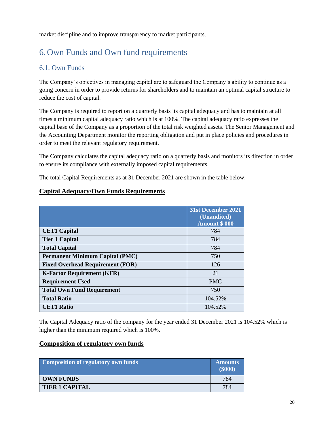market discipline and to improve transparency to market participants.

# <span id="page-19-0"></span>6.Own Funds and Own fund requirements

## <span id="page-19-1"></span>6.1. Own Funds

The Company's objectives in managing capital are to safeguard the Company's ability to continue as a going concern in order to provide returns for shareholders and to maintain an optimal capital structure to reduce the cost of capital.

The Company is required to report on a quarterly basis its capital adequacy and has to maintain at all times a minimum capital adequacy ratio which is at 100%. The capital adequacy ratio expresses the capital base of the Company as a proportion of the total risk weighted assets. The Senior Management and the Accounting Department monitor the reporting obligation and put in place policies and procedures in order to meet the relevant regulatory requirement.

The Company calculates the capital adequacy ratio on a quarterly basis and monitors its direction in order to ensure its compliance with externally imposed capital requirements.

The total Capital Requirements as at 31 December 2021 are shown in the table below:

|                                         | 31st December 2021<br>(Unaudited)<br><b>Amount \$000</b> |
|-----------------------------------------|----------------------------------------------------------|
| <b>CET1 Capital</b>                     | 784                                                      |
| <b>Tier 1 Capital</b>                   | 784                                                      |
| <b>Total Capital</b>                    | 784                                                      |
| <b>Permanent Minimum Capital (PMC)</b>  | 750                                                      |
| <b>Fixed Overhead Requirement (FOR)</b> | 126                                                      |
| <b>K-Factor Requirement (KFR)</b>       | 21                                                       |
| <b>Requirement Used</b>                 | <b>PMC</b>                                               |
| <b>Total Own Fund Requirement</b>       | 750                                                      |
| <b>Total Ratio</b>                      | 104.52%                                                  |
| <b>CET1 Ratio</b>                       | 104.52%                                                  |

### **Capital Adequacy/Own Funds Requirements**

The Capital Adequacy ratio of the company for the year ended 31 December 2021 is 104.52% which is higher than the minimum required which is 100%.

### **Composition of regulatory own funds**

| Composition of regulatory own funds | <b>Amounts</b><br>$($ \$000 $)$ |
|-------------------------------------|---------------------------------|
| <b>OWN FUNDS</b>                    | 784                             |
| <b>TIER 1 CAPITAL</b>               | 784                             |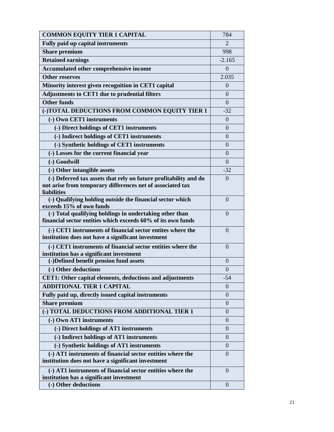| <b>COMMON EQUITY TIER 1 CAPITAL</b>                                                                              | 784            |
|------------------------------------------------------------------------------------------------------------------|----------------|
| <b>Fully paid up capital instruments</b>                                                                         | $\overline{2}$ |
| <b>Share premium</b>                                                                                             | 998            |
| <b>Retained earnings</b>                                                                                         | $-2.165$       |
| Accumulated other comprehensive income                                                                           | $\overline{0}$ |
| <b>Other reserves</b>                                                                                            | 2.035          |
| Minority interest given recognition in CET1 capital                                                              | $\Omega$       |
| Adjustments to CET1 due to prudential filters                                                                    | $\Omega$       |
| <b>Other funds</b>                                                                                               | $\Omega$       |
| (-)TOTAL DEDUCTIONS FROM COMMON EQUITY TIER 1                                                                    | $-32$          |
| (-) Own CET1 instruments                                                                                         | $\overline{0}$ |
| (-) Direct holdings of CET1 instruments                                                                          | $\overline{0}$ |
| (-) Indirect holdings of CET1 instruments                                                                        | $\overline{0}$ |
| (-) Synthetic holdings of CET1 instruments                                                                       | $\Omega$       |
| (-) Losses for the current financial year                                                                        | 0              |
| (-) Goodwill                                                                                                     | $\Omega$       |
| (-) Other intangible assets                                                                                      | $-32$          |
| (-) Deferred tax assets that rely on future profitability and do                                                 | $\theta$       |
| not arise from temporary differences net of associated tax                                                       |                |
| liabilities                                                                                                      |                |
| (-) Qualifying holding outside the financial sector which                                                        | $\overline{0}$ |
| exceeds 15% of own funds<br>(-) Total qualifying holdings in undertaking other than                              | $\overline{0}$ |
| financial sector entities which exceeds 60% of its own funds                                                     |                |
| (-) CET1 instruments of financial sector entites where the                                                       | $\Omega$       |
| institution does not have a significant investment                                                               |                |
| (-) CET1 instruments of financial sector entities where the                                                      | $\Omega$       |
| institution has a significant investment                                                                         |                |
| (-)Defined benefit pension fund assets                                                                           | $\theta$       |
| (-) Other deductions                                                                                             | $\overline{0}$ |
| <b>CET1: Other capital elements, deductions and adjustments</b>                                                  | $-54$          |
| <b>ADDITIONAL TIER 1 CAPITAL</b>                                                                                 | $\Omega$       |
| Fully paid up, directly issued capital instruments                                                               | $\theta$       |
| <b>Share premium</b>                                                                                             | $\Omega$       |
| (-) TOTAL DEDUCTIONS FROM ADDITIONAL TIER 1                                                                      | $\Omega$       |
| (-) Own AT1 instruments                                                                                          | $\Omega$       |
| (-) Direct holdings of AT1 instruments                                                                           | $\overline{0}$ |
| (-) Indirect holdings of AT1 instruments                                                                         | $\overline{0}$ |
| (-) Synthetic holdings of AT1 instruments                                                                        | $\theta$       |
| (-) AT1 instruments of financial sector entities where the<br>institution does not have a significant investment | $\Omega$       |
| (-) AT1 instruments of financial sector entities where the<br>institution has a significant investment           | $\Omega$       |
| (-) Other deductions                                                                                             | $\overline{0}$ |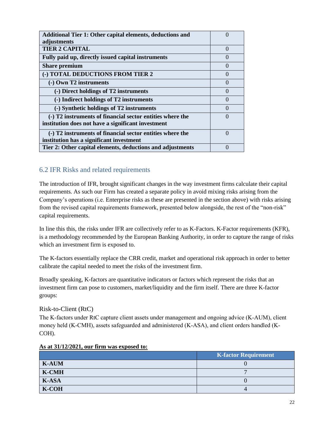| <b>Additional Tier 1: Other capital elements, deductions and</b><br>adjustments |           |
|---------------------------------------------------------------------------------|-----------|
| <b>TIER 2 CAPITAL</b>                                                           | $\left($  |
| Fully paid up, directly issued capital instruments                              | $\Box$    |
| <b>Share premium</b>                                                            | $\Omega$  |
| (-) TOTAL DEDUCTIONS FROM TIER 2                                                | $\Omega$  |
| (-) Own T2 instruments                                                          | $\Omega$  |
| (-) Direct holdings of T2 instruments                                           | $\left($  |
| (-) Indirect holdings of T2 instruments                                         | $\left($  |
| (-) Synthetic holdings of T2 instruments                                        | $\bigcap$ |
| (-) T2 instruments of financial sector entities where the                       | $\left($  |
| institution does not have a significant investment                              |           |
| (-) T2 instruments of financial sector entities where the                       | $\left($  |
| institution has a significant investment                                        |           |
| Tier 2: Other capital elements, deductions and adjustments                      | $\left($  |

## <span id="page-21-0"></span>6.2 IFR Risks and related requirements

The introduction of IFR, brought significant changes in the way investment firms calculate their capital requirements. As such our Firm has created a separate policy in avoid mixing risks arising from the Company's operations (i.e. Enterprise risks as these are presented in the section above) with risks arising from the revised capital requirements framework, presented below alongside, the rest of the "non-risk" capital requirements.

In line this this, the risks under IFR are collectively refer to as K-Factors. K-Factor requirements (KFR), is a methodology recommended by the European Banking Authority, in order to capture the range of risks which an investment firm is exposed to.

The K-factors essentially replace the CRR credit, market and operational risk approach in order to better calibrate the capital needed to meet the risks of the investment firm.

Broadly speaking, K-factors are quantitative indicators or factors which represent the risks that an investment firm can pose to customers, market/liquidity and the firm itself. There are three K-factor groups:

### <span id="page-21-1"></span>Risk-to-Client (RtC)

The K-factors under RtC capture client assets under management and ongoing advice (K-AUM), client money held (K‐CMH), assets safeguarded and administered (K‐ASA), and client orders handled (K‐ COH).

|              | <b>K-factor Requirement</b> |
|--------------|-----------------------------|
| <b>K-AUM</b> |                             |
| <b>K-CMH</b> |                             |
| K-ASA        |                             |
| K-COH        |                             |

#### **As at 31/12/2021, our firm was exposed to:**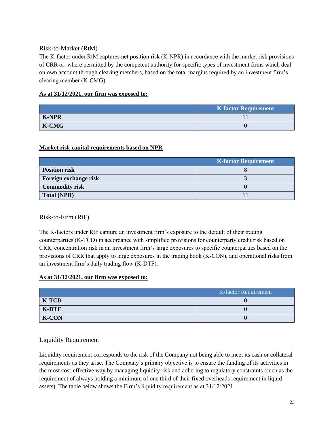### <span id="page-22-0"></span>Risk-to-Market (RtM)

The K-factor under RtM captures net position risk (K-NPR) in accordance with the market risk provisions of CRR or, where permitted by the competent authority for specific types of investment firms which deal on own account through clearing members, based on the total margins required by an investment firm's clearing member (K‐CMG).

### **As at 31/12/2021, our firm was exposed to:**

|              | <b>K-factor Requirement</b> |
|--------------|-----------------------------|
| <b>K-NPR</b> |                             |
| K-CMG        |                             |

### **Market risk capital requirements based on NPR**

|                       | <b>K-factor Requirement</b> |
|-----------------------|-----------------------------|
| <b>Position risk</b>  |                             |
| Foreign exchange risk |                             |
| <b>Commodity risk</b> |                             |
| <b>Total (NPR)</b>    |                             |

### <span id="page-22-1"></span>Risk-to-Firm (RtF)

The K-factors under RtF capture an investment firm's exposure to the default of their trading counterparties (K‐TCD) in accordance with simplified provisions for counterparty credit risk based on CRR, concentration risk in an investment firm's large exposures to specific counterparties based on the provisions of CRR that apply to large exposures in the trading book (K‐CON), and operational risks from an investment firm's daily trading flow (K‐DTF).

### **As at 31/12/2021, our firm was exposed to:**

|              | K-factor Requirement |  |
|--------------|----------------------|--|
| <b>K-TCD</b> |                      |  |
| <b>K-DTF</b> |                      |  |
| <b>K-CON</b> |                      |  |

### <span id="page-22-2"></span>Liquidity Requirement

Liquidity requirement corresponds to the risk of the Company not being able to meet its cash or collateral requirements as they arise. The Company's primary objective is to ensure the funding of its activities in the most cost-effective way by managing liquidity risk and adhering to regulatory constraints (such as the requirement of always holding a minimum of one third of their fixed overheads requirement in liquid assets). The table below shows the Firm's liquidity requirement as at 31/12/2021.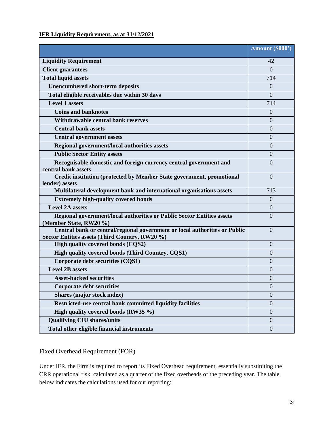## **IFR Liquidity Requirement, as at 31/12/2021**

|                                                                                                                              | Amount (\$000')  |
|------------------------------------------------------------------------------------------------------------------------------|------------------|
| <b>Liquidity Requirement</b>                                                                                                 | 42               |
| <b>Client guarantees</b>                                                                                                     | $\overline{0}$   |
| <b>Total liquid assets</b>                                                                                                   | 714              |
| <b>Unencumbered short-term deposits</b>                                                                                      | $\Omega$         |
| Total eligible receivables due within 30 days                                                                                | $\overline{0}$   |
| <b>Level 1 assets</b>                                                                                                        | 714              |
| <b>Coins and banknotes</b>                                                                                                   | $\Omega$         |
| Withdrawable central bank reserves                                                                                           | $\overline{0}$   |
| <b>Central bank assets</b>                                                                                                   | $\overline{0}$   |
| <b>Central government assets</b>                                                                                             | $\overline{0}$   |
| Regional government/local authorities assets                                                                                 | $\Omega$         |
| <b>Public Sector Entity assets</b>                                                                                           | $\theta$         |
| Recognisable domestic and foreign currency central government and<br>central bank assets                                     | $\Omega$         |
| Credit institution (protected by Member State government, promotional<br>lender) assets                                      | $\overline{0}$   |
| Multilateral development bank and international organisations assets                                                         | 713              |
| <b>Extremely high-quality covered bonds</b>                                                                                  | $\overline{0}$   |
| <b>Level 2A assets</b>                                                                                                       | $\mathbf{0}$     |
| Regional government/local authorities or Public Sector Entities assets<br>(Member State, RW20 %)                             | $\Omega$         |
| Central bank or central/regional government or local authorities or Public<br>Sector Entities assets (Third Country, RW20 %) | $\Omega$         |
| High quality covered bonds (CQS2)                                                                                            | $\Omega$         |
| High quality covered bonds (Third Country, CQS1)                                                                             | $\theta$         |
| Corporate debt securities (CQS1)                                                                                             | $\overline{0}$   |
| <b>Level 2B assets</b>                                                                                                       | $\overline{0}$   |
| <b>Asset-backed securities</b>                                                                                               | $\overline{0}$   |
| <b>Corporate debt securities</b>                                                                                             | $\theta$         |
| Shares (major stock index)                                                                                                   | $\overline{0}$   |
| Restricted-use central bank committed liquidity facilities                                                                   | $\boldsymbol{0}$ |
| High quality covered bonds (RW35 %)                                                                                          | $\overline{0}$   |
| <b>Qualifying CIU shares/units</b>                                                                                           | $\mathbf{0}$     |
| Total other eligible financial instruments                                                                                   | $\boldsymbol{0}$ |

<span id="page-23-0"></span>Fixed Overhead Requirement (FOR)

Under IFR, the Firm is required to report its Fixed Overhead requirement, essentially substituting the CRR operational risk, calculated as a quarter of the fixed overheads of the preceding year. The table below indicates the calculations used for our reporting: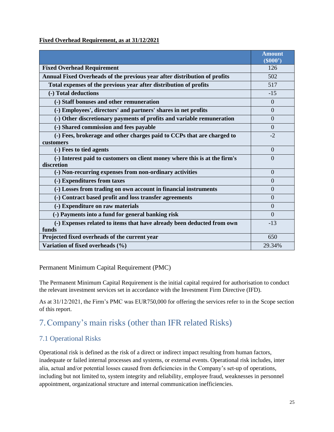#### **Fixed Overhead Requirement, as at 31/12/2021**

|                                                                                          | <b>Amount</b><br>(S000") |
|------------------------------------------------------------------------------------------|--------------------------|
| <b>Fixed Overhead Requirement</b>                                                        | 126                      |
| Annual Fixed Overheads of the previous year after distribution of profits                | 502                      |
| Total expenses of the previous year after distribution of profits                        | 517                      |
| (-) Total deductions                                                                     | $-15$                    |
| (-) Staff bonuses and other remuneration                                                 | $\Omega$                 |
| (-) Employees', directors' and partners' shares in net profits                           | $\Omega$                 |
| (-) Other discretionary payments of profits and variable remuneration                    | $\Omega$                 |
| (-) Shared commission and fees payable                                                   | $\Omega$                 |
| (-) Fees, brokerage and other charges paid to CCPs that are charged to<br>customers      | $-2$                     |
| (-) Fees to tied agents                                                                  | $\Omega$                 |
| (-) Interest paid to customers on client money where this is at the firm's<br>discretion | $\Omega$                 |
| (-) Non-recurring expenses from non-ordinary activities                                  | $\Omega$                 |
| (-) Expenditures from taxes                                                              | $\Omega$                 |
| (-) Losses from trading on own account in financial instruments                          | $\Omega$                 |
| (-) Contract based profit and loss transfer agreements                                   | $\Omega$                 |
| (-) Expenditure on raw materials                                                         | $\theta$                 |
| (-) Payments into a fund for general banking risk                                        | $\Omega$                 |
| (-) Expenses related to items that have already been deducted from own<br>funds          | $-13$                    |
| Projected fixed overheads of the current year                                            | 650                      |
| Variation of fixed overheads (%)                                                         | 29.34%                   |

### <span id="page-24-0"></span>Permanent Minimum Capital Requirement (PMC)

The Permanent Minimum Capital Requirement is the initial capital required for authorisation to conduct the relevant investment services set in accordance with the Investment Firm Directive (IFD).

As at 31/12/2021, the Firm's PMC was EUR750,000 for offering the services refer to in the Scope section of this report.

# <span id="page-24-1"></span>7.Company's main risks (other than IFR related Risks)

## <span id="page-24-2"></span>7.1 Operational Risks

Operational risk is defined as the risk of a direct or indirect impact resulting from human factors, inadequate or failed internal processes and systems, or external events. Operational risk includes, inter alia, actual and/or potential losses caused from deficiencies in the Company's set-up of operations, including but not limited to, system integrity and reliability, employee fraud, weaknesses in personnel appointment, organizational structure and internal communication inefficiencies.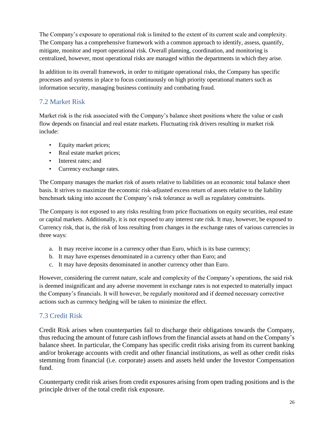The Company's exposure to operational risk is limited to the extent of its current scale and complexity. The Company has a comprehensive framework with a common approach to identify, assess, quantify, mitigate, monitor and report operational risk. Overall planning, coordination, and monitoring is centralized, however, most operational risks are managed within the departments in which they arise.

In addition to its overall framework, in order to mitigate operational risks, the Company has specific processes and systems in place to focus continuously on high priority operational matters such as information security, managing business continuity and combating fraud.

## <span id="page-25-0"></span>7.2 Market Risk

Market risk is the risk associated with the Company's balance sheet positions where the value or cash flow depends on financial and real estate markets. Fluctuating risk drivers resulting in market risk include:

- Equity market prices;
- Real estate market prices;
- Interest rates; and
- Currency exchange rates.

The Company manages the market risk of assets relative to liabilities on an economic total balance sheet basis. It strives to maximize the economic risk-adjusted excess return of assets relative to the liability benchmark taking into account the Company's risk tolerance as well as regulatory constraints.

The Company is not exposed to any risks resulting from price fluctuations on equity securities, real estate or capital markets. Additionally, it is not exposed to any interest rate risk. It may, however, be exposed to Currency risk, that is, the risk of loss resulting from changes in the exchange rates of various currencies in three ways:

- a. It may receive income in a currency other than Euro, which is its base currency;
- b. It may have expenses denominated in a currency other than Euro; and
- c. It may have deposits denominated in another currency other than Euro.

However, considering the current nature, scale and complexity of the Company's operations, the said risk is deemed insignificant and any adverse movement in exchange rates is not expected to materially impact the Company's financials. It will however, be regularly monitored and if deemed necessary corrective actions such as currency hedging will be taken to minimize the effect.

## <span id="page-25-1"></span>7.3 Credit Risk

Credit Risk arises when counterparties fail to discharge their obligations towards the Company, thus reducing the amount of future cash inflows from the financial assets at hand on the Company's balance sheet. In particular, the Company has specific credit risks arising from its current banking and/or brokerage accounts with credit and other financial institutions, as well as other credit risks stemming from financial (i.e. corporate) assets and assets held under the Investor Compensation fund.

Counterparty credit risk arises from credit exposures arising from open trading positions and is the principle driver of the total credit risk exposure.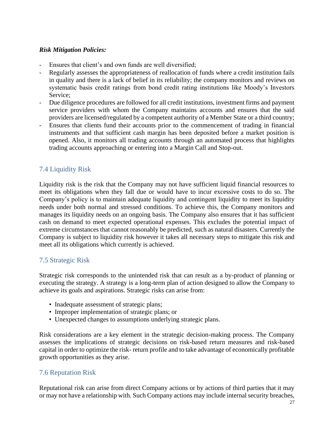### *Risk Mitigation Policies:*

- Ensures that client's and own funds are well diversified;
- Regularly assesses the appropriateness of reallocation of funds where a credit institution fails in quality and there is a lack of belief in its reliability; the company monitors and reviews on systematic basis credit ratings from bond credit rating institutions like Moody's Investors Service;
- Due diligence procedures are followed for all credit institutions, investment firms and payment service providers with whom the Company maintains accounts and ensures that the said providers are licensed/regulated by a competent authority of a Member State or a third country;
- Ensures that clients fund their accounts prior to the commencement of trading in financial instruments and that sufficient cash margin has been deposited before a market position is opened. Also, it monitors all trading accounts through an automated process that highlights trading accounts approaching or entering into a Margin Call and Stop-out.

## <span id="page-26-0"></span>7.4 Liquidity Risk

Liquidity risk is the risk that the Company may not have sufficient liquid financial resources to meet its obligations when they fall due or would have to incur excessive costs to do so. The Company's policy is to maintain adequate liquidity and contingent liquidity to meet its liquidity needs under both normal and stressed conditions. To achieve this, the Company monitors and manages its liquidity needs on an ongoing basis. The Company also ensures that it has sufficient cash on demand to meet expected operational expenses. This excludes the potential impact of extreme circumstances that cannot reasonably be predicted, such as natural disasters. Currently the Company is subject to liquidity risk however it takes all necessary steps to mitigate this risk and meet all its obligations which currently is achieved.

## <span id="page-26-1"></span>7.5 Strategic Risk

Strategic risk corresponds to the unintended risk that can result as a by-product of planning or executing the strategy. A strategy is a long-term plan of action designed to allow the Company to achieve its goals and aspirations. Strategic risks can arise from:

- Inadequate assessment of strategic plans;
- Improper implementation of strategic plans; or
- Unexpected changes to assumptions underlying strategic plans.

Risk considerations are a key element in the strategic decision-making process. The Company assesses the implications of strategic decisions on risk-based return measures and risk-based capital in order to optimize the risk- return profile and to take advantage of economically profitable growth opportunities as they arise.

### <span id="page-26-2"></span>7.6 Reputation Risk

Reputational risk can arise from direct Company actions or by actions of third parties that it may or may not have a relationship with. Such Company actions may include internal security breaches,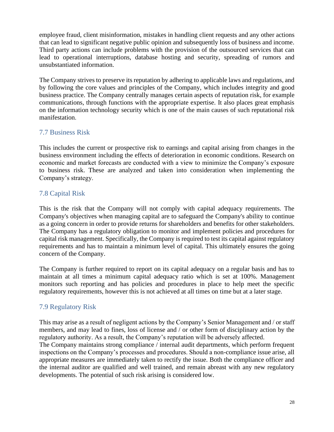employee fraud, client misinformation, mistakes in handling client requests and any other actions that can lead to significant negative public opinion and subsequently loss of business and income. Third party actions can include problems with the provision of the outsourced services that can lead to operational interruptions, database hosting and security, spreading of rumors and unsubstantiated information.

The Company strives to preserve its reputation by adhering to applicable laws and regulations, and by following the core values and principles of the Company, which includes integrity and good business practice. The Company centrally manages certain aspects of reputation risk, for example communications, through functions with the appropriate expertise. It also places great emphasis on the information technology security which is one of the main causes of such reputational risk manifestation.

## <span id="page-27-0"></span>7.7 Business Risk

This includes the current or prospective risk to earnings and capital arising from changes in the business environment including the effects of deterioration in economic conditions. Research on economic and market forecasts are conducted with a view to minimize the Company's exposure to business risk. These are analyzed and taken into consideration when implementing the Company's strategy.

## <span id="page-27-1"></span>7.8 Capital Risk

This is the risk that the Company will not comply with capital adequacy requirements. The Company's objectives when managing capital are to safeguard the Company's ability to continue as a going concern in order to provide returns for shareholders and benefits for other stakeholders. The Company has a regulatory obligation to monitor and implement policies and procedures for capital risk management. Specifically, the Company is required to test its capital against regulatory requirements and has to maintain a minimum level of capital. This ultimately ensures the going concern of the Company.

The Company is further required to report on its capital adequacy on a regular basis and has to maintain at all times a minimum capital adequacy ratio which is set at 100%. Management monitors such reporting and has policies and procedures in place to help meet the specific regulatory requirements, however this is not achieved at all times on time but at a later stage.

# <span id="page-27-2"></span>7.9 Regulatory Risk

This may arise as a result of negligent actions by the Company's Senior Management and / or staff members, and may lead to fines, loss of license and / or other form of disciplinary action by the regulatory authority. As a result, the Company's reputation will be adversely affected.

The Company maintains strong compliance / internal audit departments, which perform frequent inspections on the Company's processes and procedures. Should a non-compliance issue arise, all appropriate measures are immediately taken to rectify the issue. Both the compliance officer and the internal auditor are qualified and well trained, and remain abreast with any new regulatory developments. The potential of such risk arising is considered low.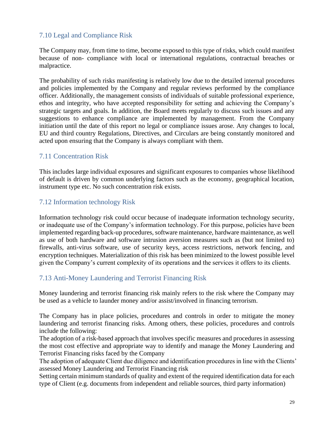## <span id="page-28-0"></span>7.10 Legal and Compliance Risk

The Company may, from time to time, become exposed to this type of risks, which could manifest because of non- compliance with local or international regulations, contractual breaches or malpractice.

The probability of such risks manifesting is relatively low due to the detailed internal procedures and policies implemented by the Company and regular reviews performed by the compliance officer. Additionally, the management consists of individuals of suitable professional experience, ethos and integrity, who have accepted responsibility for setting and achieving the Company's strategic targets and goals. In addition, the Board meets regularly to discuss such issues and any suggestions to enhance compliance are implemented by management. From the Company initiation until the date of this report no legal or compliance issues arose. Any changes to local, EU and third country Regulations, Directives, and Circulars are being constantly monitored and acted upon ensuring that the Company is always compliant with them.

## <span id="page-28-1"></span>7.11 Concentration Risk

This includes large individual exposures and significant exposures to companies whose likelihood of default is driven by common underlying factors such as the economy, geographical location, instrument type etc. No such concentration risk exists.

## <span id="page-28-2"></span>7.12 Information technology Risk

Information technology risk could occur because of inadequate information technology security, or inadequate use of the Company's information technology. For this purpose, policies have been implemented regarding back-up procedures, software maintenance, hardware maintenance, as well as use of both hardware and software intrusion aversion measures such as (but not limited to) firewalls, anti-virus software, use of security keys, access restrictions, network fencing, and encryption techniques. Materialization of this risk has been minimized to the lowest possible level given the Company's current complexity of its operations and the services it offers to its clients.

## <span id="page-28-3"></span>7.13 Anti-Money Laundering and Terrorist Financing Risk

Money laundering and terrorist financing risk mainly refers to the risk where the Company may be used as a vehicle to launder money and/or assist/involved in financing terrorism.

The Company has in place policies, procedures and controls in order to mitigate the money laundering and terrorist financing risks. Among others, these policies, procedures and controls include the following:

The adoption of a risk-based approach that involves specific measures and procedures in assessing the most cost effective and appropriate way to identify and manage the Money Laundering and Terrorist Financing risks faced by the Company

The adoption of adequate Client due diligence and identification procedures in line with the Clients' assessed Money Laundering and Terrorist Financing risk

Setting certain minimum standards of quality and extent of the required identification data for each type of Client (e.g. documents from independent and reliable sources, third party information)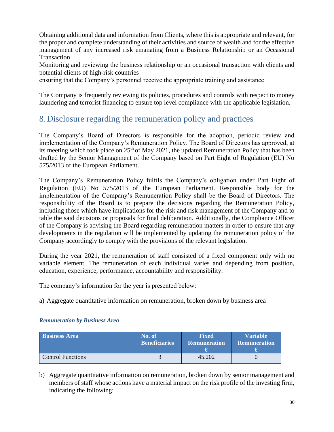Obtaining additional data and information from Clients, where this is appropriate and relevant, for the proper and complete understanding of their activities and source of wealth and for the effective management of any increased risk emanating from a Business Relationship or an Occasional Transaction

Monitoring and reviewing the business relationship or an occasional transaction with clients and potential clients of high-risk countries

ensuring that the Company's personnel receive the appropriate training and assistance

The Company is frequently reviewing its policies, procedures and controls with respect to money laundering and terrorist financing to ensure top level compliance with the applicable legislation.

# <span id="page-29-0"></span>8.Disclosure regarding the remuneration policy and practices

The Company's Board of Directors is responsible for the adoption, periodic review and implementation of the Company's Remuneration Policy. The Board of Directors has approved, at its meeting which took place on  $25<sup>th</sup>$  of May 2021, the updated Remuneration Policy that has been drafted by the Senior Management of the Company based on Part Eight of Regulation (EU) No 575/2013 of the European Parliament.

The Company's Remuneration Policy fulfils the Company's obligation under Part Eight of Regulation (EU) No 575/2013 of the European Parliament. Responsible body for the implementation of the Company's Remuneration Policy shall be the Board of Directors. The responsibility of the Board is to prepare the decisions regarding the Remuneration Policy, including those which have implications for the risk and risk management of the Company and to table the said decisions or proposals for final deliberation. Additionally, the Compliance Officer of the Company is advising the Board regarding remuneration matters in order to ensure that any developments in the regulation will be implemented by updating the remuneration policy of the Company accordingly to comply with the provisions of the relevant legislation.

During the year 2021, the remuneration of staff consisted of a fixed component only with no variable element. The remuneration of each individual varies and depending from position, education, experience, performance, accountability and responsibility.

The company's information for the year is presented below:

a) Aggregate quantitative information on remuneration, broken down by business area

### *Remuneration by Business Area*

| <b>Business Area</b>     | No. of               | <b>Fixed</b>        | <b>Variable</b>     |
|--------------------------|----------------------|---------------------|---------------------|
|                          | <b>Beneficiaries</b> | <b>Remuneration</b> | <b>Remuneration</b> |
| <b>Control Functions</b> |                      | 45.202              |                     |

b) Aggregate quantitative information on remuneration, broken down by senior management and members of staff whose actions have a material impact on the risk profile of the investing firm, indicating the following: